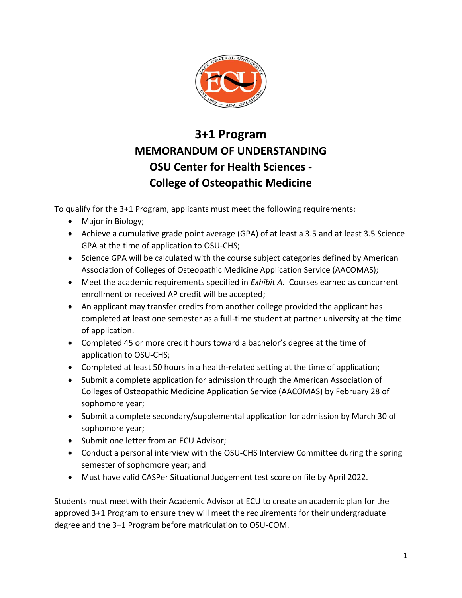

# **3+1 Program MEMORANDUM OF UNDERSTANDING OSU Center for Health Sciences - College of Osteopathic Medicine**

To qualify for the 3+1 Program, applicants must meet the following requirements:

- Major in Biology;
- Achieve a cumulative grade point average (GPA) of at least a 3.5 and at least 3.5 Science GPA at the time of application to OSU-CHS;
- Science GPA will be calculated with the course subject categories defined by American Association of Colleges of Osteopathic Medicine Application Service (AACOMAS);
- Meet the academic requirements specified in *Exhibit A*. Courses earned as concurrent enrollment or received AP credit will be accepted;
- An applicant may transfer credits from another college provided the applicant has completed at least one semester as a full-time student at partner university at the time of application.
- Completed 45 or more credit hours toward a bachelor's degree at the time of application to OSU-CHS;
- Completed at least 50 hours in a health-related setting at the time of application;
- Submit a complete application for admission through the American Association of Colleges of Osteopathic Medicine Application Service (AACOMAS) by February 28 of sophomore year;
- Submit a complete secondary/supplemental application for admission by March 30 of sophomore year;
- Submit one letter from an ECU Advisor;
- Conduct a personal interview with the OSU-CHS Interview Committee during the spring semester of sophomore year; and
- Must have valid CASPer Situational Judgement test score on file by April 2022.

Students must meet with their Academic Advisor at ECU to create an academic plan for the approved 3+1 Program to ensure they will meet the requirements for their undergraduate degree and the 3+1 Program before matriculation to OSU-COM.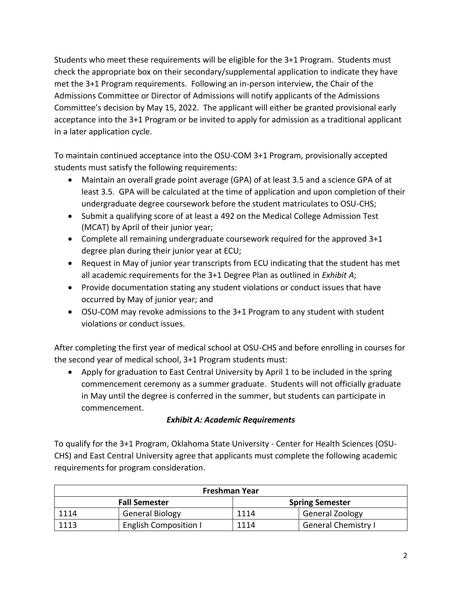Students who meet these requirements will be eligible for the 3+1 Program. Students must check the appropriate box on their secondary/supplemental application to indicate they have met the 3+1 Program requirements. Following an in-person interview, the Chair of the Admissions Committee or Director of Admissions will notify applicants of the Admissions Committee's decision by May 15, 2022. The applicant will either be granted provisional early acceptance into the 3+1 Program or be invited to apply for admission as a traditional applicant in a later application cycle.

To maintain continued acceptance into the OSU-COM 3+1 Program, provisionally accepted students must satisfy the following requirements:

- Maintain an overall grade point average (GPA) of at least 3.5 and a science GPA of at least 3.5. GPA will be calculated at the time of application and upon completion of their undergraduate degree coursework before the student matriculates to OSU-CHS;
- Submit a qualifying score of at least a 492 on the Medical College Admission Test (MCAT) by April of their junior year;
- Complete all remaining undergraduate coursework required for the approved 3+1 degree plan during their junior year at ECU;
- Request in May of junior year transcripts from ECU indicating that the student has met all academic requirements for the 3+1 Degree Plan as outlined in *Exhibit A*;
- Provide documentation stating any student violations or conduct issues that have occurred by May of junior year; and
- OSU-COM may revoke admissions to the 3+1 Program to any student with student violations or conduct issues.

After completing the first year of medical school at OSU-CHS and before enrolling in courses for the second year of medical school, 3+1 Program students must:

• Apply for graduation to East Central University by April 1 to be included in the spring commencement ceremony as a summer graduate. Students will not officially graduate in May until the degree is conferred in the summer, but students can participate in commencement.

## *Exhibit A: Academic Requirements*

To qualify for the 3+1 Program, Oklahoma State University - Center for Health Sciences (OSU-CHS) and East Central University agree that applicants must complete the following academic requirements for program consideration.

| Freshman Year        |                              |                        |                            |
|----------------------|------------------------------|------------------------|----------------------------|
| <b>Fall Semester</b> |                              | <b>Spring Semester</b> |                            |
| 1114                 | <b>General Biology</b>       | 1114                   | <b>General Zoology</b>     |
| 1113                 | <b>English Composition I</b> | 1114                   | <b>General Chemistry I</b> |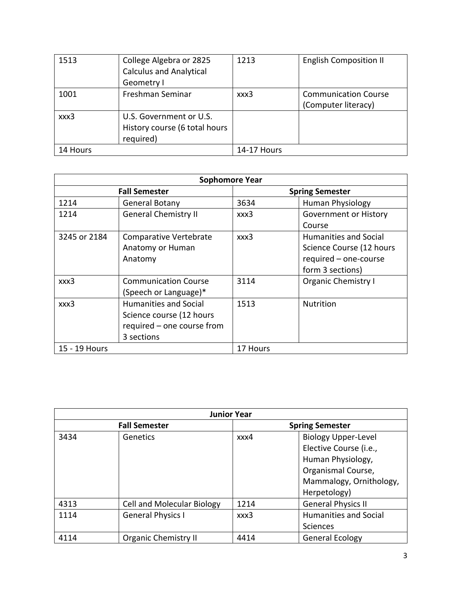| 1513     | College Algebra or 2825<br><b>Calculus and Analytical</b><br>Geometry I | 1213               | <b>English Composition II</b>                      |
|----------|-------------------------------------------------------------------------|--------------------|----------------------------------------------------|
| 1001     | Freshman Seminar                                                        | xxx3               | <b>Communication Course</b><br>(Computer literacy) |
| xxx3     | U.S. Government or U.S.<br>History course (6 total hours<br>required)   |                    |                                                    |
| 14 Hours |                                                                         | <b>14-17 Hours</b> |                                                    |

| <b>Sophomore Year</b> |                              |                        |                              |
|-----------------------|------------------------------|------------------------|------------------------------|
| <b>Fall Semester</b>  |                              | <b>Spring Semester</b> |                              |
| 1214                  | General Botany               | 3634                   | <b>Human Physiology</b>      |
| 1214                  | <b>General Chemistry II</b>  | xxx3                   | Government or History        |
|                       |                              |                        | Course                       |
| 3245 or 2184          | Comparative Vertebrate       | xxx3                   | <b>Humanities and Social</b> |
|                       | Anatomy or Human             |                        | Science Course (12 hours     |
|                       | Anatomy                      |                        | required - one-course        |
|                       |                              |                        | form 3 sections)             |
| xxx3                  | <b>Communication Course</b>  | 3114                   | <b>Organic Chemistry I</b>   |
|                       | (Speech or Language)*        |                        |                              |
| xxx3                  | <b>Humanities and Social</b> | 1513                   | <b>Nutrition</b>             |
|                       | Science course (12 hours     |                        |                              |
|                       | required - one course from   |                        |                              |
|                       | 3 sections                   |                        |                              |
| 15 - 19 Hours         |                              | 17 Hours               |                              |

| <b>Junior Year</b>   |                                   |                        |                            |
|----------------------|-----------------------------------|------------------------|----------------------------|
| <b>Fall Semester</b> |                                   | <b>Spring Semester</b> |                            |
| 3434                 | Genetics                          | xxx4                   | <b>Biology Upper-Level</b> |
|                      |                                   |                        | Elective Course (i.e.,     |
|                      |                                   |                        | Human Physiology,          |
|                      |                                   |                        | Organismal Course,         |
|                      |                                   |                        | Mammalogy, Ornithology,    |
|                      |                                   |                        | Herpetology)               |
| 4313                 | <b>Cell and Molecular Biology</b> | 1214                   | <b>General Physics II</b>  |
| 1114                 | <b>General Physics I</b>          | xxx3                   | Humanities and Social      |
|                      |                                   |                        | Sciences                   |
| 4114                 | <b>Organic Chemistry II</b>       | 4414                   | <b>General Ecology</b>     |